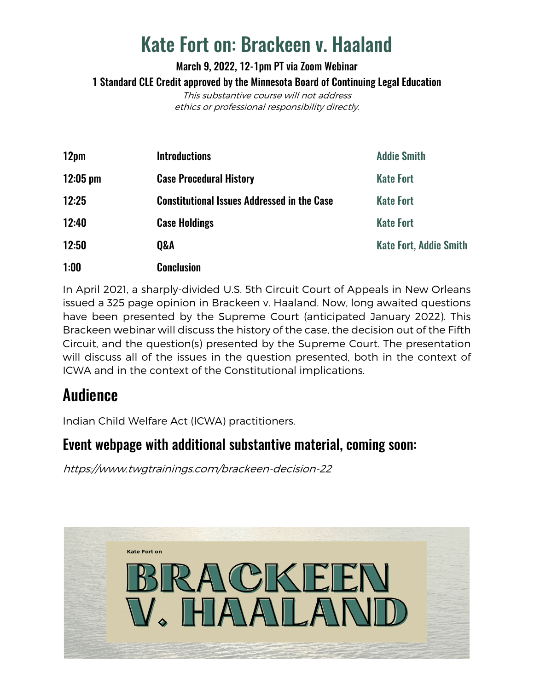# Kate Fort on: Brackeen v. Haaland

March 9, 2022, 12-1pm PT via Zoom Webinar 1 Standard CLE Credit approved by the Minnesota Board of Continuing Legal Education This substantive course will not address

ethics or professional responsibility directly.

| 12pm               | <b>Introductions</b>                               | <b>Addie Smith</b>            |
|--------------------|----------------------------------------------------|-------------------------------|
| $12:05 \text{ pm}$ | <b>Case Procedural History</b>                     | <b>Kate Fort</b>              |
| 12:25              | <b>Constitutional Issues Addressed in the Case</b> | <b>Kate Fort</b>              |
| 12:40              | <b>Case Holdings</b>                               | <b>Kate Fort</b>              |
| 12:50              | <b>Q&amp;A</b>                                     | <b>Kate Fort, Addie Smith</b> |
| 1:00               | <b>Conclusion</b>                                  |                               |

In April 2021, a sharply-divided U.S. 5th Circuit Court of Appeals in New Orleans issued a 325 page opinion in Brackeen v. Haaland. Now, long awaited questions have been presented by the Supreme Court (anticipated January 2022). This Brackeen webinar will discuss the history of the case, the decision out of the Fifth Circuit, and the question(s) presented by the Supreme Court. The presentation will discuss all of the issues in the question presented, both in the context of ICWA and in the context of the Constitutional implications.

## **Audience**

Indian Child Welfare Act (ICWA) practitioners.

#### Event webpage with additional substantive material, coming soon:

<https://www.twgtrainings.com/brackeen-decision-22>